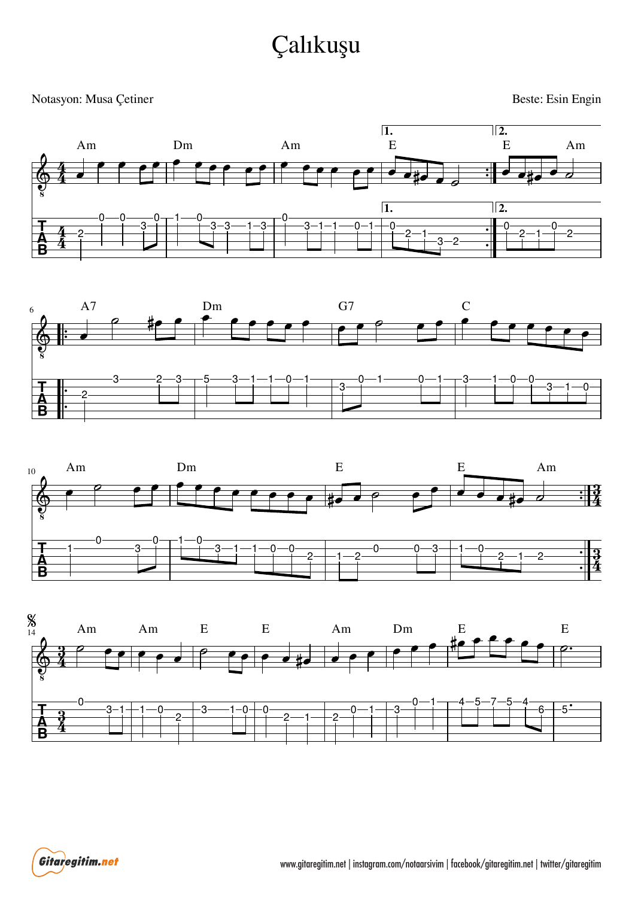## Çalıkuşu

## Notasyon: Musa Çetiner

Beste: Esin Engin